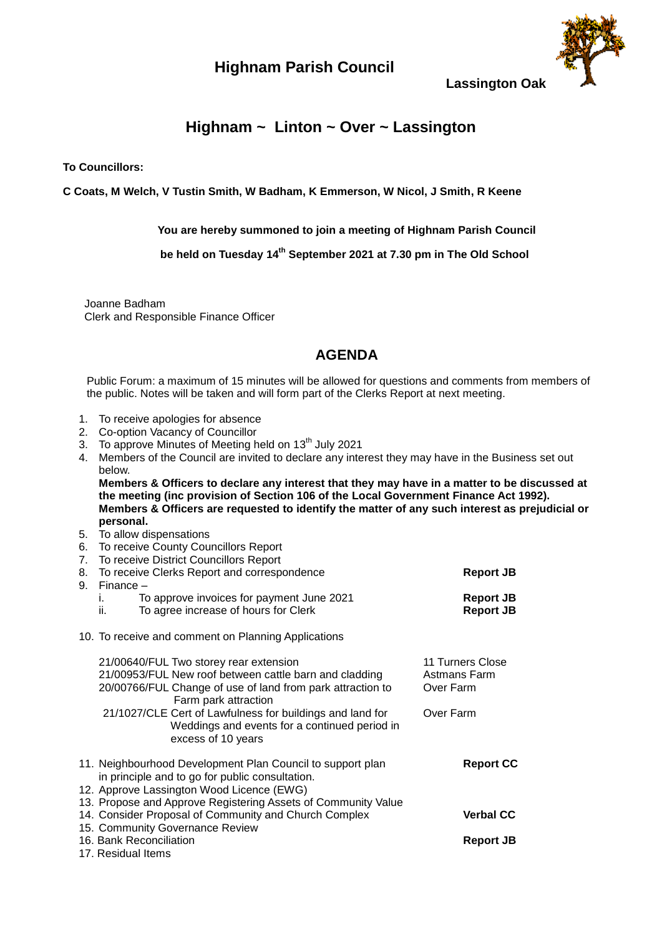## **Highnam Parish Council**



**Lassington Oak**

## **Highnam ~ Linton ~ Over ~ Lassington**

**To Councillors:**

**C Coats, M Welch, V Tustin Smith, W Badham, K Emmerson, W Nicol, J Smith, R Keene**

**You are hereby summoned to join a meeting of Highnam Parish Council**

 **be held on Tuesday 14th September 2021 at 7.30 pm in The Old School**

 Joanne Badham Clerk and Responsible Finance Officer

## **AGENDA**

Public Forum: a maximum of 15 minutes will be allowed for questions and comments from members of the public. Notes will be taken and will form part of the Clerks Report at next meeting.

- 1. To receive apologies for absence
- 2. Co-option Vacancy of Councillor
- 3. To approve Minutes of Meeting held on  $13<sup>th</sup>$  July 2021
- 4. Members of the Council are invited to declare any interest they may have in the Business set out below.

**Members & Officers to declare any interest that they may have in a matter to be discussed at the meeting (inc provision of Section 106 of the Local Government Finance Act 1992). Members & Officers are requested to identify the matter of any such interest as prejudicial or personal.**

- 5. To allow dispensations
- 6. To receive County Councillors Report
- 7. To receive District Councillors Report 8. To receive Clerks Report and correspondence **Report JB** 9. Finance – i. To approve invoices for payment June 2021 **Report JB** ii. To agree increase of hours for Clerk **Report JB Report JB** 10. To receive and comment on Planning Applications 21/00640/FUL Two storey rear extension 11 Turners Close<br>21/00953/FUL New roof between cattle barn and cladding Astmans Farm 21/00953/FUL New roof between cattle barn and cladding Astmans Farm<br>20/00766/FUL Change of use of land from park attraction to Over Farm 20/00766/FUL Change of use of land from park attraction to Farm park attraction 21/1027/CLE Cert of Lawfulness for buildings and land for Over Farm Weddings and events for a continued period in excess of 10 years 11. Neighbourhood Development Plan Council to support plan **Report CC** in principle and to go for public consultation. 12. Approve Lassington Wood Licence (EWG) 13. Propose and Approve Registering Assets of Community Value 14. Consider Proposal of Community and Church Complex **Verbal CC** 15. Community Governance Review 16. Bank Reconciliation **Report JB**
- 17. Residual Items